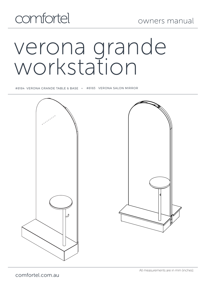# verona grande workstation

#8184 VERONA GRANDE TABLE & BASE + #8183 VERONA SALON MIRROR

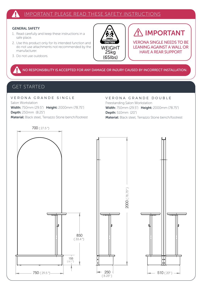#### IMPORTANT PLEASE READ THESE SAFETY INSTRUCTIONS

#### GENERAL SAFETY

- 1. Read carefully and keep these instructions in a safe place.
- 2. Use this product only for its intended function and do not use attachments not recommended by the manufacturer.
- 3. Do not use outdoors.



## IMPORTANT

VERONA SINGLE NEEDS TO BE LEANING AGAINST A WALL OR HAVE A REAR SUPPORT

NO RESPONSIBILITY IS ACCEPTED FOR ANY DAMAGE OR INJURY CAUSED BY INCORRECT INSTALLATION.

## GET STARTED

VERONA GRANDE SINGLE Salon Workstation Width: 750mm (29.5") Height: 2000mm (78.75") Depth: 250mm (8.25") Material: Black steel, Terrazzo Stone bench/footrest

VERONA GRANDE DOUBLE Freestanding Salon Workstation Width: 750mm (29.5") Height: 2000mm (78.75") Depth: 510mm (20") Material: Black steel, Terrazzo Stone bench/footrest



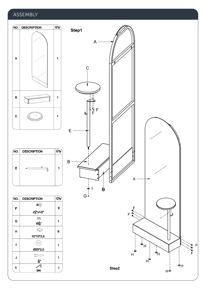### ASSEMBLY